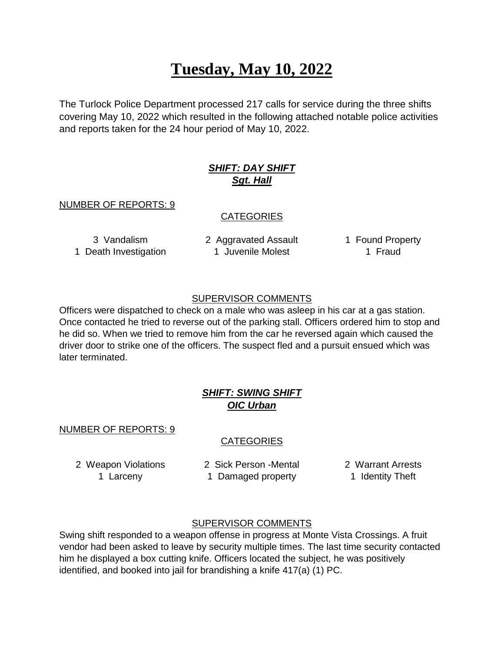# **Tuesday, May 10, 2022**

The Turlock Police Department processed 217 calls for service during the three shifts covering May 10, 2022 which resulted in the following attached notable police activities and reports taken for the 24 hour period of May 10, 2022.

# *SHIFT: DAY SHIFT Sgt. Hall*

#### NUMBER OF REPORTS: 9

#### **CATEGORIES**

3 Vandalism 2 Aggravated Assault 1 Found Property 1 Death Investigation 1 Juvenile Molest 1 Fraud

### SUPERVISOR COMMENTS

Officers were dispatched to check on a male who was asleep in his car at a gas station. Once contacted he tried to reverse out of the parking stall. Officers ordered him to stop and he did so. When we tried to remove him from the car he reversed again which caused the driver door to strike one of the officers. The suspect fled and a pursuit ensued which was later terminated.

# *SHIFT: SWING SHIFT OIC Urban*

#### NUMBER OF REPORTS: 9

# **CATEGORIES**

2 Weapon Violations 2 Sick Person -Mental 2 Warrant Arrests 1 Larceny 1 Damaged property 1 Identity Theft

#### SUPERVISOR COMMENTS

Swing shift responded to a weapon offense in progress at Monte Vista Crossings. A fruit vendor had been asked to leave by security multiple times. The last time security contacted him he displayed a box cutting knife. Officers located the subject, he was positively identified, and booked into jail for brandishing a knife 417(a) (1) PC.